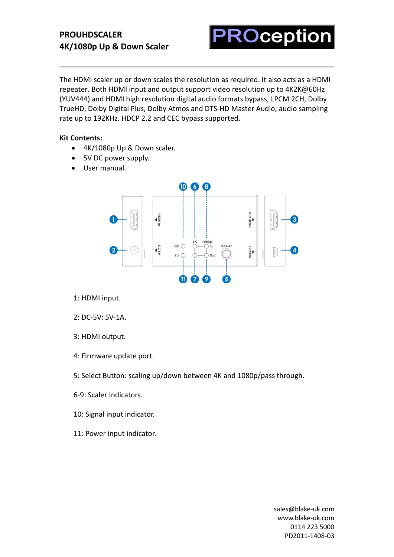# **PROUHDSCALER 4K/1080p Up & Down Scaler**

**ROception** 

The HDMI scaler up or down scales the resolution as required. It also acts as a HDMI repeater. Both HDMI input and output support video resolution up to 4K2K@60Hz (YUV444) and HDMI high resolution digital audio formats bypass, LPCM 2CH, Dolby TrueHD, Dolby Digital Plus, Dolby Atmos and DTS-HD Master Audio, audio sampling rate up to 192KHz. HDCP 2.2 and CEC bypass supported.

#### **Kit Contents:**

- 4K/1080p Up & Down scaler.
- 5V DC power supply.
- User manual.



- 1: HDMI input.
- 2: DC-5V: 5V-1A.
- 3: HDMI output.
- 4: Firmware update port.
- 5: Select Button: scaling up/down between 4K and 1080p/pass through.
- 6-9: Scaler Indicators.
- 10: Signal input indicator.
- 11: Power input indicator.

[sales@blake-uk.com](mailto:sales@blake-uk.com) [www.blake-uk.com](http://www.blake-uk.com/) 0114 223 5000 PD2011-1408-03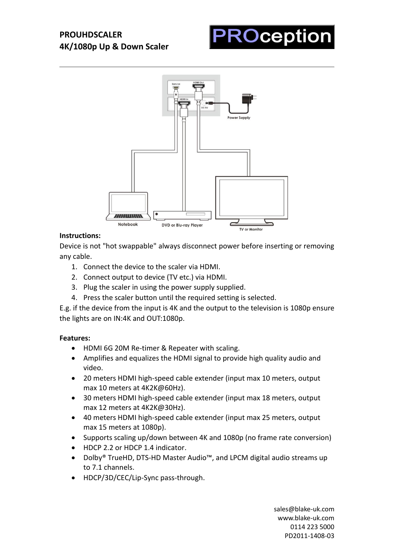



## **Instructions:**

Device is not "hot swappable" always disconnect power before inserting or removing any cable.

- 1. Connect the device to the scaler via HDMI.
- 2. Connect output to device (TV etc.) via HDMI.
- 3. Plug the scaler in using the power supply supplied.
- 4. Press the scaler button until the required setting is selected.

E.g. if the device from the input is 4K and the output to the television is 1080p ensure the lights are on IN:4K and OUT:1080p.

#### **Features:**

- HDMI 6G 20M Re-timer & Repeater with scaling.
- Amplifies and equalizes the HDMI signal to provide high quality audio and video.
- 20 meters HDMI high-speed cable extender (input max 10 meters, output max 10 meters at 4K2K@60Hz).
- 30 meters HDMI high-speed cable extender (input max 18 meters, output max 12 meters at 4K2K@30Hz).
- 40 meters HDMI high-speed cable extender (input max 25 meters, output max 15 meters at 1080p).
- Supports scaling up/down between 4K and 1080p (no frame rate conversion)
- HDCP 2.2 or HDCP 1.4 indicator.
- Dolby® TrueHD, DTS-HD Master Audio™, and LPCM digital audio streams up to 7.1 channels.
- HDCP/3D/CEC/Lip-Sync pass-through.

[sales@blake-uk.com](mailto:sales@blake-uk.com) [www.blake-uk.com](http://www.blake-uk.com/) 0114 223 5000 PD2011-1408-03